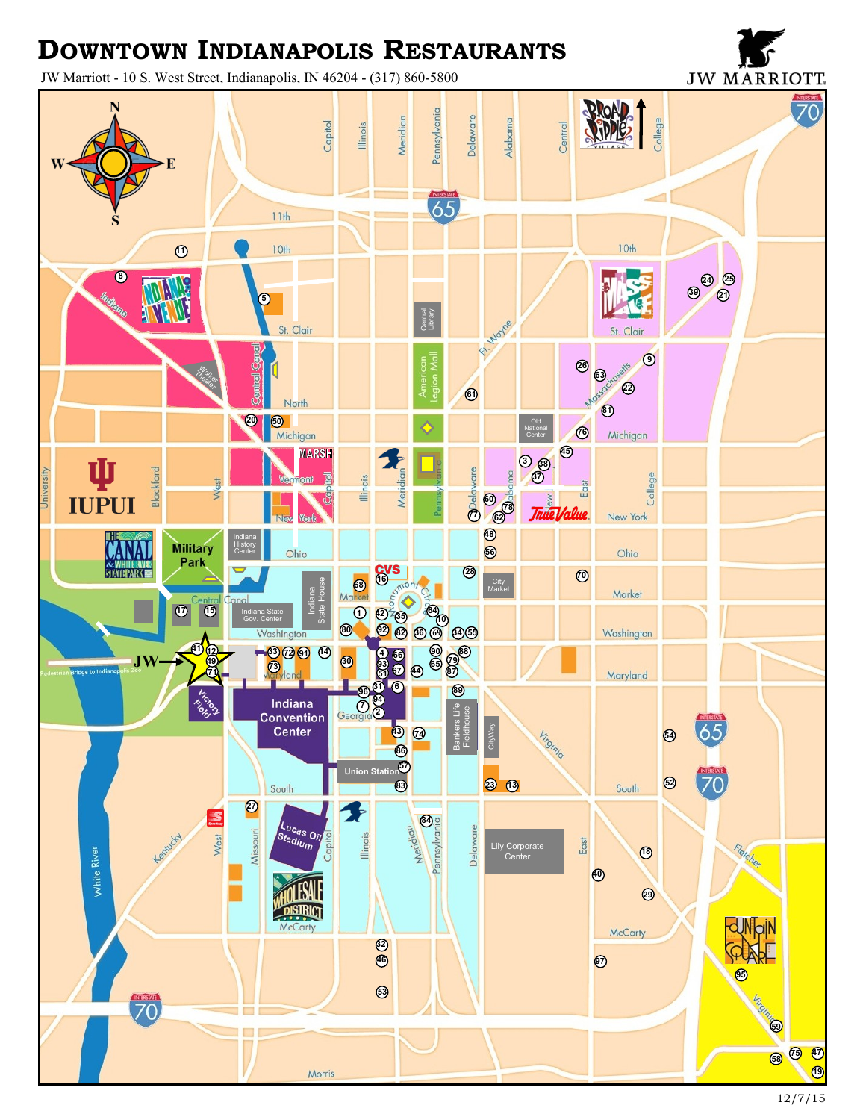## **DOWNTOWN INDIANAPOLIS RESTAURANTS**

JW Marriott - 10 S. West Street, Indianapolis, IN 46204 - (317) 860-5800